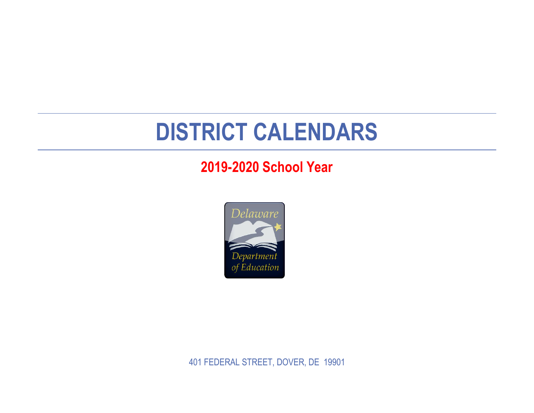## **DISTRICT CALENDARS**

## **2019-2020 School Year**



401 FEDERAL STREET, DOVER, DE 19901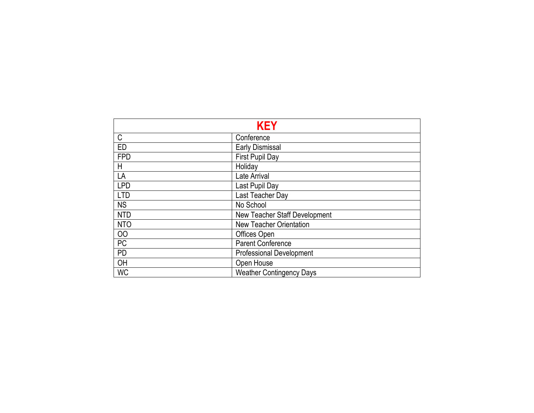|            | <b>KEY</b>                           |
|------------|--------------------------------------|
| C          | Conference                           |
| ED         | <b>Early Dismissal</b>               |
| <b>FPD</b> | First Pupil Day                      |
| Η          | Holiday                              |
| LA         | Late Arrival                         |
| <b>LPD</b> | Last Pupil Day                       |
| <b>LTD</b> | Last Teacher Day                     |
| <b>NS</b>  | No School                            |
| <b>NTD</b> | <b>New Teacher Staff Development</b> |
| <b>NTO</b> | <b>New Teacher Orientation</b>       |
| 00         | Offices Open                         |
| PC         | Parent Conference                    |
| <b>PD</b>  | <b>Professional Development</b>      |
| OH         | Open House                           |
| <b>WC</b>  | <b>Weather Contingency Days</b>      |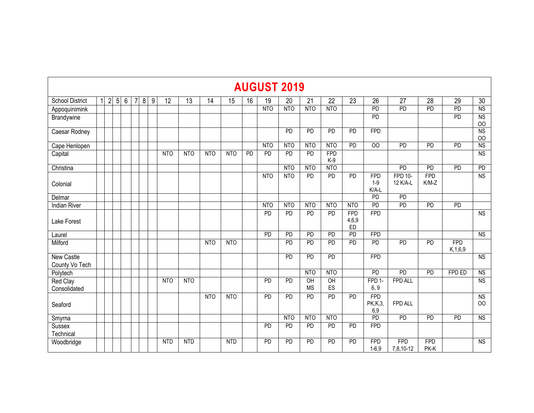## **AUGUST 2019**

| <b>School District</b>              | $\overline{2}$ | 5 <sub>1</sub> | $6\,$ | $\overline{7}$ | 8 | 9 | 12              | 13              | 14         | 15              | 16              | 19              | 20              | 21                            | 22                    | 23                        | 26                             | 27                         | 28                    | 29                       | 30                     |
|-------------------------------------|----------------|----------------|-------|----------------|---|---|-----------------|-----------------|------------|-----------------|-----------------|-----------------|-----------------|-------------------------------|-----------------------|---------------------------|--------------------------------|----------------------------|-----------------------|--------------------------|------------------------|
| Appoquinimink                       |                |                |       |                |   |   |                 |                 |            |                 |                 | N <sub>TO</sub> | N <sub>TO</sub> | NTO                           | <b>NTO</b>            |                           | <b>PD</b>                      | PD                         | PD                    | PD                       | NS                     |
| Brandywine                          |                |                |       |                |   |   |                 |                 |            |                 |                 |                 |                 |                               |                       |                           | PD                             |                            |                       | PD                       | NS                     |
|                                     |                |                |       |                |   |   |                 |                 |            |                 |                 |                 |                 |                               |                       |                           |                                |                            |                       |                          | 00                     |
| Caesar Rodney                       |                |                |       |                |   |   |                 |                 |            |                 |                 |                 | PD              | PD                            | PD                    | PD                        | <b>FPD</b>                     |                            |                       |                          | <b>NS</b><br>00        |
| Cape Henlopen                       |                |                |       |                |   |   |                 |                 |            |                 |                 | <b>NTO</b>      | N <sub>TO</sub> | NTO                           | NTO                   | <b>PD</b>                 | 00 <sup>°</sup>                | <b>PD</b>                  | <b>PD</b>             | <b>PD</b>                | <b>NS</b>              |
| Capital                             |                |                |       |                |   |   | N <sub>TO</sub> | <b>NTO</b>      | <b>NTO</b> | N <sub>TO</sub> | $\overline{PD}$ | PD              | PD              | PD                            | <b>FPD</b><br>$K-9$   |                           |                                |                            |                       |                          | $\overline{\text{NS}}$ |
| Christina                           |                |                |       |                |   |   |                 |                 |            |                 |                 |                 | N <sub>TO</sub> | NTO                           | <b>NTO</b>            |                           |                                | $\overline{PD}$            | PD                    | PD                       | $\overline{PD}$        |
| Colonial                            |                |                |       |                |   |   |                 |                 |            |                 |                 | <b>NTO</b>      | <b>NTO</b>      | PD                            | PD                    | PD                        | <b>FPD</b><br>$1-9$<br>K/A-L   | <b>FPD 10-</b><br>12 K/A-L | <b>FPD</b><br>$K/M-Z$ |                          | <b>NS</b>              |
| Delmar                              |                |                |       |                |   |   |                 |                 |            |                 |                 |                 |                 |                               |                       |                           | <b>PD</b>                      | PD                         |                       |                          |                        |
| <b>Indian River</b>                 |                |                |       |                |   |   |                 |                 |            |                 |                 | <b>NTO</b>      | <b>NTO</b>      | NTO                           | N <sub>TO</sub>       | NTO                       | <b>PD</b>                      | PD                         | $\overline{PD}$       | <b>PD</b>                |                        |
| Lake Forest                         |                |                |       |                |   |   |                 |                 |            |                 |                 | PD              | PD              | PD                            | PD                    | <b>FPD</b><br>4,6,9<br>ED | <b>FPD</b>                     |                            |                       |                          | $\overline{NS}$        |
| Laurel                              |                |                |       |                |   |   |                 |                 |            |                 |                 | PD              | PD              | PD                            | PD                    | PD                        | <b>FPD</b>                     |                            |                       |                          | $\overline{NS}$        |
| Milford                             |                |                |       |                |   |   |                 |                 | NTO        | N <sub>TO</sub> |                 |                 | PD              | PD                            | PD                    | $\overline{PD}$           | <b>PD</b>                      | PD                         | $\overline{PD}$       | <b>FPD</b><br>K, 1, 6, 9 |                        |
| <b>New Castle</b><br>County Vo Tech |                |                |       |                |   |   |                 |                 |            |                 |                 |                 | $\overline{PD}$ | $\overline{PD}$               | PD                    |                           | <b>FPD</b>                     |                            |                       |                          | $\overline{\text{NS}}$ |
| Polytech                            |                |                |       |                |   |   |                 |                 |            |                 |                 |                 |                 | N <sub>TO</sub>               | <b>NTO</b>            |                           | $\overline{PD}$                | PD                         | $\overline{PD}$       | FPD ED                   | $\overline{\text{NS}}$ |
| <b>Red Clay</b><br>Consolidated     |                |                |       |                |   |   | N <sub>TO</sub> | N <sub>TO</sub> |            |                 |                 | PD              | PD              | $\overline{O}$ H<br><b>MS</b> | $\overline{CH}$<br>ES |                           | FPD 1-<br>6, 9                 | <b>FPD ALL</b>             |                       |                          | $\overline{\text{NS}}$ |
| Seaford                             |                |                |       |                |   |   |                 |                 | <b>NTO</b> | N <sub>TO</sub> |                 | PD              | PD              | PD                            | $\overline{PD}$       | <b>PD</b>                 | <b>FPD</b><br>PK, K, 3,<br>6,9 | FPD ALL                    |                       |                          | <b>NS</b><br>OO        |
| Smyrna                              |                |                |       |                |   |   |                 |                 |            |                 |                 |                 | N <sub>TO</sub> | NTO                           | N <sub>TO</sub>       |                           | $\overline{PD}$                | $\overline{PD}$            | $\overline{PD}$       | $\overline{PD}$          | $\overline{\text{NS}}$ |
| Sussex<br>Technical                 |                |                |       |                |   |   |                 |                 |            |                 |                 | <b>PD</b>       | <b>PD</b>       | PD                            | PD                    | PD                        | <b>FPD</b>                     |                            |                       |                          |                        |
| Woodbridge                          |                |                |       |                |   |   | <b>NTD</b>      | <b>NTD</b>      |            | <b>NTD</b>      |                 | PD              | PD              | PD                            | $\overline{PD}$       | PD                        | <b>FPD</b><br>$1 - 6,9$        | <b>FPD</b><br>7,8,10-12    | <b>FPD</b><br>PK-K    |                          | $\overline{\text{NS}}$ |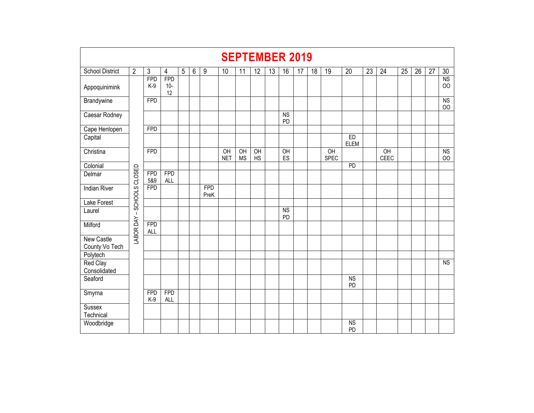|                                     | <b>SEPTEMBER 2019</b> |                          |                           |   |       |                    |                               |                              |                 |    |                              |    |    |                                |                      |    |            |    |    |    |                                  |
|-------------------------------------|-----------------------|--------------------------|---------------------------|---|-------|--------------------|-------------------------------|------------------------------|-----------------|----|------------------------------|----|----|--------------------------------|----------------------|----|------------|----|----|----|----------------------------------|
| <b>School District</b>              | $\overline{2}$        | $\mathfrak{Z}$           | $\overline{4}$            | 5 | $6\,$ | $9\,$              | 10                            | 11                           | 12              | 13 | 16                           | 17 | 18 | 19                             | 20                   | 23 | 24         | 25 | 26 | 27 | 30                               |
| Appoquinimink                       |                       | <b>FPD</b><br>$K-9$      | <b>FPD</b><br>$10-$<br>12 |   |       |                    |                               |                              |                 |    |                              |    |    |                                |                      |    |            |    |    |    | <b>NS</b><br>$00\,$              |
| Brandywine                          |                       | <b>FPD</b>               |                           |   |       |                    |                               |                              |                 |    |                              |    |    |                                |                      |    |            |    |    |    | N <sub>S</sub><br>O <sub>O</sub> |
| Caesar Rodney                       |                       |                          |                           |   |       |                    |                               |                              |                 |    | $\overline{\text{NS}}$<br>PD |    |    |                                |                      |    |            |    |    |    |                                  |
| Cape Henlopen                       |                       | <b>FPD</b>               |                           |   |       |                    |                               |                              |                 |    |                              |    |    |                                |                      |    |            |    |    |    |                                  |
| Capital                             |                       |                          |                           |   |       |                    |                               |                              |                 |    |                              |    |    |                                | ED<br><b>ELEM</b>    |    |            |    |    |    |                                  |
| Christina                           |                       | <b>FPD</b>               |                           |   |       |                    | $\overline{CH}$<br><b>NET</b> | $\overline{OH}$<br><b>MS</b> | OH<br><b>HS</b> |    | $\overline{CH}$<br>ES        |    |    | $\overline{OH}$<br><b>SPEC</b> |                      |    | OH<br>CEEC |    |    |    | NS<br>$00\,$                     |
| Colonial                            |                       |                          |                           |   |       |                    |                               |                              |                 |    |                              |    |    |                                | PD                   |    |            |    |    |    |                                  |
| Delmar                              |                       | <b>FPD</b><br>5&9        | <b>FPD</b><br><b>ALL</b>  |   |       |                    |                               |                              |                 |    |                              |    |    |                                |                      |    |            |    |    |    |                                  |
| <b>Indian River</b>                 | SCHOOLS CLOSED        | <b>FPD</b>               |                           |   |       | <b>FPD</b><br>PreK |                               |                              |                 |    |                              |    |    |                                |                      |    |            |    |    |    |                                  |
| Lake Forest                         |                       |                          |                           |   |       |                    |                               |                              |                 |    |                              |    |    |                                |                      |    |            |    |    |    |                                  |
| Laurel                              | $\blacksquare$        |                          |                           |   |       |                    |                               |                              |                 |    | $\overline{\text{NS}}$<br>PD |    |    |                                |                      |    |            |    |    |    |                                  |
| Milford                             | <b>LABOR DAY</b>      | <b>FPD</b><br><b>ALL</b> |                           |   |       |                    |                               |                              |                 |    |                              |    |    |                                |                      |    |            |    |    |    |                                  |
| <b>New Castle</b><br>County Vo Tech |                       |                          |                           |   |       |                    |                               |                              |                 |    |                              |    |    |                                |                      |    |            |    |    |    |                                  |
| Polytech                            |                       |                          |                           |   |       |                    |                               |                              |                 |    |                              |    |    |                                |                      |    |            |    |    |    |                                  |
| <b>Red Clay</b><br>Consolidated     |                       |                          |                           |   |       |                    |                               |                              |                 |    |                              |    |    |                                |                      |    |            |    |    |    | NS                               |
| Seaford                             |                       |                          |                           |   |       |                    |                               |                              |                 |    |                              |    |    |                                | N <sub>S</sub><br>PD |    |            |    |    |    |                                  |
| Smyrna                              |                       | <b>FPD</b><br>$K-9$      | <b>FPD</b><br><b>ALL</b>  |   |       |                    |                               |                              |                 |    |                              |    |    |                                |                      |    |            |    |    |    |                                  |
| <b>Sussex</b><br>Technical          |                       |                          |                           |   |       |                    |                               |                              |                 |    |                              |    |    |                                |                      |    |            |    |    |    |                                  |
| Woodbridge                          |                       |                          |                           |   |       |                    |                               |                              |                 |    |                              |    |    |                                | <b>NS</b><br>PD      |    |            |    |    |    |                                  |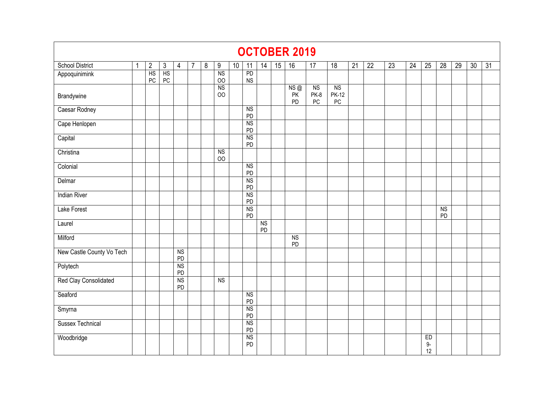|                                                                                   |  |                |          |                      |   |   |                      |    |                 |                       |    | <b>OCTOBER 2019</b>   |                              |                                  |                 |                 |                 |                 |                 |                 |    |    |                 |
|-----------------------------------------------------------------------------------|--|----------------|----------|----------------------|---|---|----------------------|----|-----------------|-----------------------|----|-----------------------|------------------------------|----------------------------------|-----------------|-----------------|-----------------|-----------------|-----------------|-----------------|----|----|-----------------|
| <b>School District</b>                                                            |  | $\overline{2}$ | 3        | 4                    | 7 | 8 | 9                    | 10 | 11              | 14                    | 15 | 16                    | 17                           | $\overline{18}$                  | $\overline{21}$ | $\overline{22}$ | $\overline{23}$ | $\overline{24}$ | $\overline{25}$ | $\overline{28}$ | 29 | 30 | $\overline{31}$ |
| Appoquinimink                                                                     |  | HS<br>PC       | HS<br>PC |                      |   |   | N <sub>S</sub><br>00 |    | PD<br><b>NS</b> |                       |    |                       |                              |                                  |                 |                 |                 |                 |                 |                 |    |    |                 |
| Brandywine                                                                        |  |                |          |                      |   |   | <b>NS</b><br>00      |    |                 |                       |    | NS@<br>PK<br>PD       | N <sub>S</sub><br>PK-8<br>PC | NS<br><b>PK-12</b><br>${\sf PC}$ |                 |                 |                 |                 |                 |                 |    |    |                 |
| Caesar Rodney                                                                     |  |                |          |                      |   |   |                      |    | NS<br>PD        |                       |    |                       |                              |                                  |                 |                 |                 |                 |                 |                 |    |    |                 |
| Cape Henlopen                                                                     |  |                |          |                      |   |   |                      |    | <b>NS</b><br>PD |                       |    |                       |                              |                                  |                 |                 |                 |                 |                 |                 |    |    |                 |
| <b>NS</b><br>Capital<br>PD<br>Christina<br>N <sub>S</sub><br>00<br>Colonial<br>NS |  |                |          |                      |   |   |                      |    |                 |                       |    |                       |                              |                                  |                 |                 |                 |                 |                 |                 |    |    |                 |
| PD                                                                                |  |                |          |                      |   |   |                      |    |                 |                       |    |                       |                              |                                  |                 |                 |                 |                 |                 |                 |    |    |                 |
|                                                                                   |  |                |          |                      |   |   |                      |    |                 |                       |    |                       |                              |                                  |                 |                 |                 |                 |                 |                 |    |    |                 |
| Delmar                                                                            |  |                |          |                      |   |   |                      |    | <b>NS</b><br>PD |                       |    |                       |                              |                                  |                 |                 |                 |                 |                 |                 |    |    |                 |
| <b>Indian River</b>                                                               |  |                |          |                      |   |   |                      |    | <b>NS</b><br>PD |                       |    |                       |                              |                                  |                 |                 |                 |                 |                 |                 |    |    |                 |
| Lake Forest                                                                       |  |                |          |                      |   |   |                      |    | <b>NS</b><br>PD |                       |    |                       |                              |                                  |                 |                 |                 |                 |                 | NS<br>PD        |    |    |                 |
| Laurel                                                                            |  |                |          |                      |   |   |                      |    |                 | $\overline{NS}$<br>PD |    |                       |                              |                                  |                 |                 |                 |                 |                 |                 |    |    |                 |
| Milford                                                                           |  |                |          |                      |   |   |                      |    |                 |                       |    | $\overline{NS}$<br>PD |                              |                                  |                 |                 |                 |                 |                 |                 |    |    |                 |
| New Castle County Vo Tech                                                         |  |                |          | N <sub>S</sub><br>PD |   |   |                      |    |                 |                       |    |                       |                              |                                  |                 |                 |                 |                 |                 |                 |    |    |                 |
| Polytech                                                                          |  |                |          | <b>NS</b><br>PD      |   |   |                      |    |                 |                       |    |                       |                              |                                  |                 |                 |                 |                 |                 |                 |    |    |                 |
| Red Clay Consolidated                                                             |  |                |          | NS<br>PD             |   |   | N <sub>S</sub>       |    |                 |                       |    |                       |                              |                                  |                 |                 |                 |                 |                 |                 |    |    |                 |
| Seaford                                                                           |  |                |          |                      |   |   |                      |    | NS<br>PD        |                       |    |                       |                              |                                  |                 |                 |                 |                 |                 |                 |    |    |                 |
| Smyrna                                                                            |  |                |          |                      |   |   |                      |    | <b>NS</b><br>PD |                       |    |                       |                              |                                  |                 |                 |                 |                 |                 |                 |    |    |                 |
| <b>Sussex Technical</b>                                                           |  |                |          |                      |   |   |                      |    | <b>NS</b><br>PD |                       |    |                       |                              |                                  |                 |                 |                 |                 |                 |                 |    |    |                 |
| Woodbridge                                                                        |  |                |          |                      |   |   |                      |    | <b>NS</b><br>PD |                       |    |                       |                              |                                  |                 |                 |                 |                 | ED<br>9-<br>12  |                 |    |    |                 |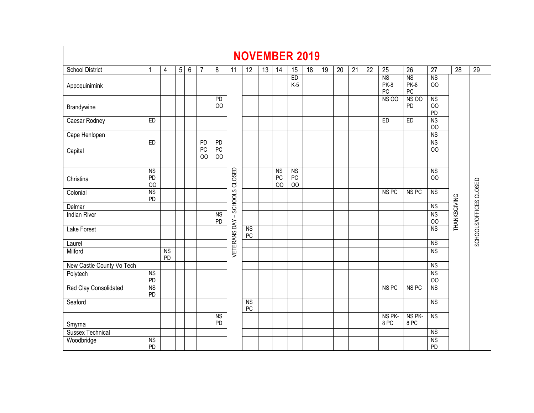|                           |                       |                 |          |                 |                            |                              |                               | <b>NOVEMBER 2019</b>         |    |                                   |                                |    |    |    |                 |                 |                           |                                 |                             |              |                        |
|---------------------------|-----------------------|-----------------|----------|-----------------|----------------------------|------------------------------|-------------------------------|------------------------------|----|-----------------------------------|--------------------------------|----|----|----|-----------------|-----------------|---------------------------|---------------------------------|-----------------------------|--------------|------------------------|
| <b>School District</b>    | 1                     | 4               | $5\vert$ | $6\phantom{1}6$ | 7                          | 8                            | 11                            | 12                           | 13 | 14                                | 15                             | 18 | 19 | 20 | $\overline{21}$ | $\overline{22}$ | $\overline{25}$           | 26                              | $\overline{27}$             | 28           | 29                     |
| Appoquinimink             |                       |                 |          |                 |                            |                              |                               |                              |    |                                   | ED<br>$K-5$                    |    |    |    |                 |                 | <b>NS</b><br>PK-8<br>$PC$ | <b>NS</b><br>PK-8<br>${\sf PC}$ | <b>NS</b><br>OO             |              |                        |
| Brandywine                |                       |                 |          |                 |                            | PD<br>00                     |                               |                              |    |                                   |                                |    |    |    |                 |                 | <b>NS 00</b>              | <b>NS 00</b><br>PD              | <b>NS</b><br>00<br>PD       |              |                        |
| Caesar Rodney             | ED                    |                 |          |                 |                            |                              |                               |                              |    |                                   |                                |    |    |    |                 |                 | ED                        | ED                              | <b>NS</b><br>O <sub>O</sub> |              |                        |
| Cape Henlopen             |                       |                 |          |                 |                            |                              |                               |                              |    |                                   |                                |    |    |    |                 |                 |                           |                                 | <b>NS</b>                   |              |                        |
| Capital                   | ED                    |                 |          |                 | PD<br>PC<br>O <sub>O</sub> | PD<br>$PC$<br>O <sub>O</sub> |                               |                              |    |                                   |                                |    |    |    |                 |                 |                           |                                 | <b>NS</b><br>OO             |              |                        |
| Christina                 | <b>NS</b><br>PD<br>00 |                 |          |                 |                            |                              | VETERANS DAY - SCHOOLS CLOSED |                              |    | <b>NS</b><br>PC<br>O <sub>O</sub> | <b>NS</b><br>PC<br>$_{\rm OO}$ |    |    |    |                 |                 |                           |                                 | <b>NS</b><br>O <sub>O</sub> |              |                        |
| Colonial                  | <b>NS</b><br>PD       |                 |          |                 |                            |                              |                               |                              |    |                                   |                                |    |    |    |                 |                 | NS <sub>PC</sub>          | NS <sub>PC</sub>                | <b>NS</b>                   |              | SCHOOLS/OFFICES CLOSED |
| Delmar                    |                       |                 |          |                 |                            |                              |                               |                              |    |                                   |                                |    |    |    |                 |                 |                           |                                 | <b>NS</b>                   |              |                        |
| <b>Indian River</b>       |                       |                 |          |                 |                            | <b>NS</b><br>PD              |                               |                              |    |                                   |                                |    |    |    |                 |                 |                           |                                 | <b>NS</b><br>$\overline{O}$ | THANKSGIVING |                        |
| <b>Lake Forest</b>        |                       |                 |          |                 |                            |                              |                               | <b>NS</b><br>${\sf PC}$      |    |                                   |                                |    |    |    |                 |                 |                           |                                 | <b>NS</b>                   |              |                        |
| Laurel                    |                       |                 |          |                 |                            |                              |                               |                              |    |                                   |                                |    |    |    |                 |                 |                           |                                 | <b>NS</b>                   |              |                        |
| Milford                   |                       | <b>NS</b><br>PD |          |                 |                            |                              |                               |                              |    |                                   |                                |    |    |    |                 |                 |                           |                                 | <b>NS</b>                   |              |                        |
| New Castle County Vo Tech |                       |                 |          |                 |                            |                              |                               |                              |    |                                   |                                |    |    |    |                 |                 |                           |                                 | <b>NS</b>                   |              |                        |
| Polytech                  | <b>NS</b><br>PD       |                 |          |                 |                            |                              |                               |                              |    |                                   |                                |    |    |    |                 |                 |                           |                                 | <b>NS</b><br>$_{\rm OO}$    |              |                        |
| Red Clay Consolidated     | <b>NS</b><br>PD       |                 |          |                 |                            |                              |                               |                              |    |                                   |                                |    |    |    |                 |                 | NS <sub>PC</sub>          | NS <sub>PC</sub>                | <b>NS</b>                   |              |                        |
| Seaford                   |                       |                 |          |                 |                            |                              |                               | N <sub>S</sub><br>${\sf PC}$ |    |                                   |                                |    |    |    |                 |                 |                           |                                 | <b>NS</b>                   |              |                        |
| Smyrna                    |                       |                 |          |                 |                            | NS<br>PD                     |                               |                              |    |                                   |                                |    |    |    |                 |                 | NS PK-<br>8 PC            | NS PK-<br>8PC                   | <b>NS</b>                   |              |                        |
| <b>Sussex Technical</b>   |                       |                 |          |                 |                            |                              |                               |                              |    |                                   |                                |    |    |    |                 |                 |                           |                                 | NS                          |              |                        |
| Woodbridge                | <b>NS</b><br>PD       |                 |          |                 |                            |                              |                               |                              |    |                                   |                                |    |    |    |                 |                 |                           |                                 | <b>NS</b><br>PD             |              |                        |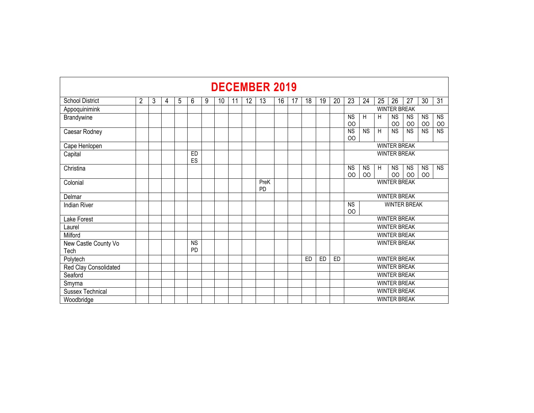|                              |                |   |   |   |                 |   |    |    |    | <b>DECEMBER 2019</b> |    |    |    |                     |                                                                                                                                      |                     |           |    |                     |                     |                          |                 |  |  |  |  |  |  |  |
|------------------------------|----------------|---|---|---|-----------------|---|----|----|----|----------------------|----|----|----|---------------------|--------------------------------------------------------------------------------------------------------------------------------------|---------------------|-----------|----|---------------------|---------------------|--------------------------|-----------------|--|--|--|--|--|--|--|
| <b>School District</b>       | $\overline{2}$ | 3 | 4 | 5 | 6               | 9 | 10 | 11 | 12 | 13                   | 16 | 17 | 18 | 19                  | 20                                                                                                                                   | 23                  | 24        | 25 | 26                  | 27                  | 30                       | $\overline{31}$ |  |  |  |  |  |  |  |
| Appoquinimink                |                |   |   |   |                 |   |    |    |    |                      |    |    |    |                     |                                                                                                                                      |                     |           |    | <b>WINTER BREAK</b> |                     |                          |                 |  |  |  |  |  |  |  |
| Brandywine                   |                |   |   |   |                 |   |    |    |    |                      |    |    |    |                     |                                                                                                                                      | <b>NS</b><br>00     | H         | H  | <b>NS</b><br>00     | <b>NS</b><br>00     | <b>NS</b><br>$_{\rm OO}$ | <b>NS</b><br>00 |  |  |  |  |  |  |  |
| Caesar Rodney                |                |   |   |   |                 |   |    |    |    |                      |    |    |    |                     |                                                                                                                                      | <b>NS</b><br>00     | <b>NS</b> | H  | <b>NS</b>           | <b>NS</b>           | <b>NS</b>                | <b>NS</b>       |  |  |  |  |  |  |  |
| Cape Henlopen                |                |   |   |   |                 |   |    |    |    |                      |    |    |    |                     |                                                                                                                                      |                     |           |    | <b>WINTER BREAK</b> |                     |                          |                 |  |  |  |  |  |  |  |
| Capital                      |                |   |   |   | ED<br>ES        |   |    |    |    |                      |    |    |    |                     | <b>WINTER BREAK</b><br><b>NS</b><br><b>NS</b><br><b>NS</b><br><b>NS</b><br><b>NS</b><br>H<br><b>NS</b><br>00<br>OO<br>00<br>00<br>00 |                     |           |    |                     |                     |                          |                 |  |  |  |  |  |  |  |
| Christina                    |                |   |   |   |                 |   |    |    |    |                      |    |    |    |                     | <b>WINTER BREAK</b>                                                                                                                  |                     |           |    |                     |                     |                          |                 |  |  |  |  |  |  |  |
| Colonial                     |                |   |   |   |                 |   |    |    |    | PreK<br><b>PD</b>    |    |    |    |                     |                                                                                                                                      | <b>WINTER BREAK</b> |           |    |                     |                     |                          |                 |  |  |  |  |  |  |  |
| Delmar                       |                |   |   |   |                 |   |    |    |    |                      |    |    |    |                     |                                                                                                                                      |                     |           |    |                     |                     |                          |                 |  |  |  |  |  |  |  |
| <b>Indian River</b>          |                |   |   |   |                 |   |    |    |    |                      |    |    |    |                     |                                                                                                                                      | <b>NS</b><br>00     |           |    |                     | <b>WINTER BREAK</b> |                          |                 |  |  |  |  |  |  |  |
| Lake Forest                  |                |   |   |   |                 |   |    |    |    |                      |    |    |    |                     |                                                                                                                                      |                     |           |    | <b>WINTER BREAK</b> |                     |                          |                 |  |  |  |  |  |  |  |
| Laurel                       |                |   |   |   |                 |   |    |    |    |                      |    |    |    |                     |                                                                                                                                      |                     |           |    | <b>WINTER BREAK</b> |                     |                          |                 |  |  |  |  |  |  |  |
| Milford                      |                |   |   |   |                 |   |    |    |    |                      |    |    |    |                     |                                                                                                                                      |                     |           |    | <b>WINTER BREAK</b> |                     |                          |                 |  |  |  |  |  |  |  |
| New Castle County Vo<br>Tech |                |   |   |   | <b>NS</b><br>PD |   |    |    |    |                      |    |    |    |                     |                                                                                                                                      |                     |           |    | <b>WINTER BREAK</b> |                     |                          |                 |  |  |  |  |  |  |  |
| Polytech                     |                |   |   |   |                 |   |    |    |    |                      |    |    | ED | ED                  | ED                                                                                                                                   |                     |           |    | <b>WINTER BREAK</b> |                     |                          |                 |  |  |  |  |  |  |  |
| Red Clay Consolidated        |                |   |   |   |                 |   |    |    |    |                      |    |    |    |                     |                                                                                                                                      |                     |           |    | <b>WINTER BREAK</b> |                     |                          |                 |  |  |  |  |  |  |  |
| Seaford                      |                |   |   |   |                 |   |    |    |    |                      |    |    |    |                     |                                                                                                                                      |                     |           |    | <b>WINTER BREAK</b> |                     |                          |                 |  |  |  |  |  |  |  |
| Smyrna                       |                |   |   |   |                 |   |    |    |    |                      |    |    |    |                     | <b>WINTER BREAK</b>                                                                                                                  |                     |           |    |                     |                     |                          |                 |  |  |  |  |  |  |  |
| <b>Sussex Technical</b>      |                |   |   |   |                 |   |    |    |    |                      |    |    |    |                     | <b>WINTER BREAK</b>                                                                                                                  |                     |           |    |                     |                     |                          |                 |  |  |  |  |  |  |  |
| Woodbridge                   |                |   |   |   |                 |   |    |    |    |                      |    |    |    | <b>WINTER BREAK</b> |                                                                                                                                      |                     |           |    |                     |                     |                          |                 |  |  |  |  |  |  |  |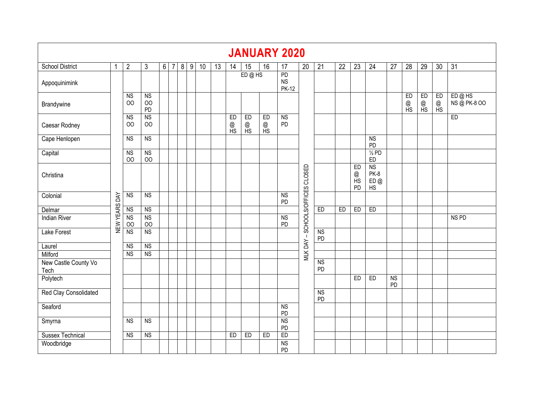|                              |                                                             |                                                                                                    |                                        |  |  |  |  |  |  |               |               |               | <b>JANUARY 2020</b>             |                                  |                 |                 |                     |                                 |                 |                 |               |               |                       |
|------------------------------|-------------------------------------------------------------|----------------------------------------------------------------------------------------------------|----------------------------------------|--|--|--|--|--|--|---------------|---------------|---------------|---------------------------------|----------------------------------|-----------------|-----------------|---------------------|---------------------------------|-----------------|-----------------|---------------|---------------|-----------------------|
| <b>School District</b>       |                                                             | $\overline{2}$<br>3<br>$6 \mid 7$<br>8<br>$\overline{9}$<br>10<br>20<br>13<br>15<br>16<br>17<br>14 |                                        |  |  |  |  |  |  |               |               |               |                                 |                                  |                 | $\overline{22}$ | $\overline{23}$     | $\overline{24}$                 | $\overline{27}$ | $\overline{28}$ | 29            | 30            | 31                    |
| Appoquinimink                |                                                             |                                                                                                    |                                        |  |  |  |  |  |  |               | ED@HS         |               | PD<br><b>NS</b><br><b>PK-12</b> |                                  |                 |                 |                     |                                 |                 |                 |               |               |                       |
| Brandywine                   |                                                             | $\overline{\text{NS}}$<br>OO                                                                       | N <sub>S</sub><br>O <sub>O</sub><br>PD |  |  |  |  |  |  |               |               |               |                                 |                                  |                 |                 |                     |                                 |                 | ED<br>@<br>HS   | ED<br>@<br>HS | ED<br>@<br>HS | ED@HS<br>NS @ PK-8 OO |
| Caesar Rodney                |                                                             | $\overline{\text{NS}}$<br>OO                                                                       | <b>NS</b><br>OO                        |  |  |  |  |  |  | ED<br>@<br>HS | ED<br>@<br>HS | ED<br>@<br>HS | NS<br>PD                        |                                  |                 |                 |                     |                                 |                 |                 |               |               | ED                    |
| Cape Henlopen                |                                                             | N <sub>S</sub>                                                                                     | NS                                     |  |  |  |  |  |  |               |               |               |                                 |                                  |                 |                 |                     | N <sub>S</sub><br>PD            |                 |                 |               |               |                       |
| Capital                      |                                                             | <b>NS</b><br>OO                                                                                    | <b>NS</b><br>OO                        |  |  |  |  |  |  |               |               |               |                                 |                                  |                 |                 |                     | $\frac{1}{2}$ PD<br>${\sf ED}$  |                 |                 |               |               |                       |
| Christina                    |                                                             |                                                                                                    |                                        |  |  |  |  |  |  |               |               |               |                                 | MLK DAY - SCHOOLS/OFFICES CLOSED |                 |                 | ED<br>@<br>HS<br>PD | <b>NS</b><br>PK-8<br>ED @<br>HS |                 |                 |               |               |                       |
| Colonial                     | DAY                                                         | <b>NS</b>                                                                                          | NS                                     |  |  |  |  |  |  |               |               |               | NS<br>PD                        |                                  |                 |                 |                     |                                 |                 |                 |               |               |                       |
| Delmar                       |                                                             | <b>NS</b>                                                                                          | <b>NS</b>                              |  |  |  |  |  |  |               |               |               |                                 |                                  | ED              | ED              | ED                  | ED                              |                 |                 |               |               |                       |
| <b>Indian River</b>          | NEW YEARS                                                   | <b>NS</b><br>O <sub>O</sub>                                                                        | <b>NS</b><br>00                        |  |  |  |  |  |  |               |               |               | N <sub>S</sub><br><b>PD</b>     |                                  |                 |                 |                     |                                 |                 |                 |               |               | NS <sub>PD</sub>      |
| Lake Forest                  |                                                             | <b>NS</b>                                                                                          | <b>NS</b>                              |  |  |  |  |  |  |               |               |               |                                 |                                  | <b>NS</b><br>PD |                 |                     |                                 |                 |                 |               |               |                       |
| Laurel                       |                                                             | <b>NS</b>                                                                                          | <b>NS</b>                              |  |  |  |  |  |  |               |               |               |                                 |                                  |                 |                 |                     |                                 |                 |                 |               |               |                       |
| Milford                      |                                                             | <b>NS</b>                                                                                          | <b>NS</b>                              |  |  |  |  |  |  |               |               |               |                                 |                                  |                 |                 |                     |                                 |                 |                 |               |               |                       |
| New Castle County Vo<br>Tech |                                                             |                                                                                                    |                                        |  |  |  |  |  |  |               |               |               |                                 |                                  | <b>NS</b><br>PD |                 |                     |                                 |                 |                 |               |               |                       |
| Polytech                     |                                                             |                                                                                                    |                                        |  |  |  |  |  |  |               |               |               |                                 |                                  |                 |                 | ED                  | ED                              | <b>NS</b><br>PD |                 |               |               |                       |
| Red Clay Consolidated        |                                                             |                                                                                                    |                                        |  |  |  |  |  |  |               |               |               |                                 |                                  | <b>NS</b><br>PD |                 |                     |                                 |                 |                 |               |               |                       |
| Seaford                      |                                                             |                                                                                                    |                                        |  |  |  |  |  |  |               |               |               | <b>NS</b><br>PD                 |                                  |                 |                 |                     |                                 |                 |                 |               |               |                       |
| Smyrna                       |                                                             | <b>NS</b>                                                                                          | $\overline{\text{NS}}$                 |  |  |  |  |  |  |               |               |               | <b>NS</b><br><b>PD</b>          |                                  |                 |                 |                     |                                 |                 |                 |               |               |                       |
| <b>Sussex Technical</b>      | ED<br><b>NS</b><br>$\overline{\text{NS}}$<br>ED<br>ED<br>ED |                                                                                                    |                                        |  |  |  |  |  |  |               |               |               |                                 |                                  |                 |                 |                     |                                 |                 |                 |               |               |                       |
| Woodbridge                   |                                                             |                                                                                                    |                                        |  |  |  |  |  |  |               |               |               | <b>NS</b><br>PD                 |                                  |                 |                 |                     |                                 |                 |                 |               |               |                       |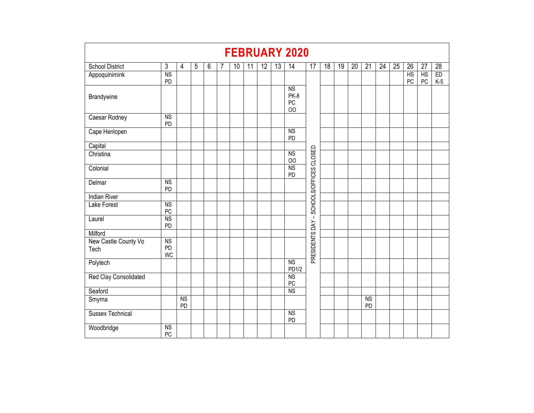|                              |                       |                              |   |   |   |                 |    |    |    | <b>FEBRUARY 2020</b>          |                          |    |    |    |          |    |    |          |          |             |
|------------------------------|-----------------------|------------------------------|---|---|---|-----------------|----|----|----|-------------------------------|--------------------------|----|----|----|----------|----|----|----------|----------|-------------|
| <b>School District</b>       | $\mathbf{3}$          | 4                            | 5 | 6 | 7 | 10 <sup>°</sup> | 11 | 12 | 13 | 14                            | 17                       | 18 | 19 | 20 | 21       | 24 | 25 | 26       | 27       | 28          |
| Appoquinimink                | N <sub>S</sub><br>PD  |                              |   |   |   |                 |    |    |    |                               |                          |    |    |    |          |    |    | HS<br>PC | HS<br>PC | ED<br>$K-5$ |
| Brandywine                   |                       |                              |   |   |   |                 |    |    |    | <b>NS</b><br>PK-8<br>PC<br>00 |                          |    |    |    |          |    |    |          |          |             |
| Caesar Rodney                | N <sub>S</sub><br>PD  |                              |   |   |   |                 |    |    |    |                               |                          |    |    |    |          |    |    |          |          |             |
| Cape Henlopen                |                       |                              |   |   |   |                 |    |    |    | $\overline{NS}$<br>PD         |                          |    |    |    |          |    |    |          |          |             |
| Capital                      |                       |                              |   |   |   |                 |    |    |    |                               |                          |    |    |    |          |    |    |          |          |             |
| Christina                    |                       |                              |   |   |   |                 |    |    |    | <b>NS</b><br>$_{\rm OO}$      | CLOSED                   |    |    |    |          |    |    |          |          |             |
| Colonial                     |                       |                              |   |   |   |                 |    |    |    | <b>NS</b><br>PD               |                          |    |    |    |          |    |    |          |          |             |
| Delmar                       | <b>NS</b><br>PD       |                              |   |   |   |                 |    |    |    |                               | SCHOOLS/OFFICES          |    |    |    |          |    |    |          |          |             |
| <b>Indian River</b>          |                       |                              |   |   |   |                 |    |    |    |                               |                          |    |    |    |          |    |    |          |          |             |
| <b>Lake Forest</b>           | <b>NS</b><br>PC       |                              |   |   |   |                 |    |    |    |                               |                          |    |    |    |          |    |    |          |          |             |
| Laurel                       | <b>NS</b><br>PD       |                              |   |   |   |                 |    |    |    |                               | $\overline{\phantom{a}}$ |    |    |    |          |    |    |          |          |             |
| Milford                      |                       |                              |   |   |   |                 |    |    |    |                               |                          |    |    |    |          |    |    |          |          |             |
| New Castle County Vo<br>Tech | NS<br>PD<br><b>WC</b> |                              |   |   |   |                 |    |    |    |                               | PRESIDENTS DAY           |    |    |    |          |    |    |          |          |             |
| Polytech                     |                       |                              |   |   |   |                 |    |    |    | <b>NS</b><br>PD1/2            |                          |    |    |    |          |    |    |          |          |             |
| Red Clay Consolidated        |                       |                              |   |   |   |                 |    |    |    | <b>NS</b><br>PC               |                          |    |    |    |          |    |    |          |          |             |
| Seaford                      |                       |                              |   |   |   |                 |    |    |    | <b>NS</b>                     |                          |    |    |    |          |    |    |          |          |             |
| Smyrna                       |                       | $\overline{\text{NS}}$<br>PD |   |   |   |                 |    |    |    |                               |                          |    |    |    | NS<br>PD |    |    |          |          |             |
| <b>Sussex Technical</b>      |                       |                              |   |   |   |                 |    |    |    | $\overline{NS}$<br>PD         |                          |    |    |    |          |    |    |          |          |             |
| Woodbridge                   | <b>NS</b><br>$PC$     |                              |   |   |   |                 |    |    |    |                               |                          |    |    |    |          |    |    |          |          |             |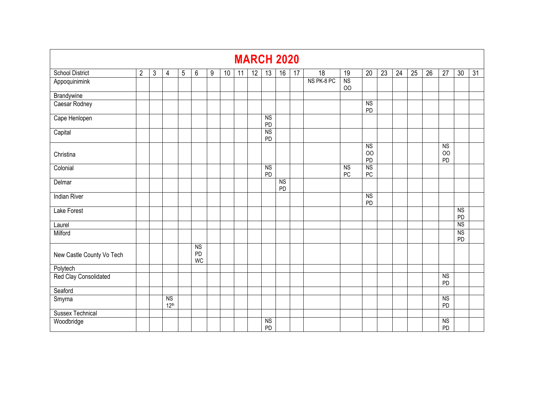|                                                                         |                |   |                                    |   |                                           |   |    |    |                 |                      | <b>MARCH 2020</b>    |    |            |                 |                            |                 |                 |                 |                 |                                         |                       |    |
|-------------------------------------------------------------------------|----------------|---|------------------------------------|---|-------------------------------------------|---|----|----|-----------------|----------------------|----------------------|----|------------|-----------------|----------------------------|-----------------|-----------------|-----------------|-----------------|-----------------------------------------|-----------------------|----|
| <b>School District</b>                                                  | $\overline{2}$ | 3 | $\overline{4}$                     | 5 | 6                                         | 9 | 10 | 11 | $\overline{12}$ | 13                   | 16                   | 17 | 18         | $\overline{19}$ | $\overline{20}$            | $\overline{23}$ | $\overline{24}$ | $\overline{25}$ | $\overline{26}$ | $\overline{27}$                         | 30                    | 31 |
| Appoquinimink                                                           |                |   |                                    |   |                                           |   |    |    |                 |                      |                      |    | NS PK-8 PC | <b>NS</b><br>00 |                            |                 |                 |                 |                 |                                         |                       |    |
| Brandywine                                                              |                |   |                                    |   |                                           |   |    |    |                 |                      |                      |    |            |                 |                            |                 |                 |                 |                 |                                         |                       |    |
| Caesar Rodney                                                           |                |   |                                    |   |                                           |   |    |    |                 |                      |                      |    |            |                 | N <sub>S</sub><br>PD       |                 |                 |                 |                 |                                         |                       |    |
| Cape Henlopen                                                           |                |   |                                    |   |                                           |   |    |    |                 | <b>NS</b><br>PD      |                      |    |            |                 |                            |                 |                 |                 |                 |                                         |                       |    |
| Capital                                                                 |                |   |                                    |   |                                           |   |    |    |                 | <b>NS</b><br>PD      |                      |    |            |                 |                            |                 |                 |                 |                 |                                         |                       |    |
| Christina                                                               |                |   |                                    |   |                                           |   |    |    |                 |                      |                      |    |            |                 | N <sub>S</sub><br>OO<br>PD |                 |                 |                 |                 | $\overline{NS}$<br>O <sub>O</sub><br>PD |                       |    |
| <b>NS</b><br>Colonial<br>$\overline{NS}$<br><b>NS</b><br>PD<br>PC<br>PC |                |   |                                    |   |                                           |   |    |    |                 |                      |                      |    |            |                 |                            |                 |                 |                 |                 |                                         |                       |    |
| Delmar                                                                  |                |   |                                    |   |                                           |   |    |    |                 |                      | N <sub>S</sub><br>PD |    |            |                 |                            |                 |                 |                 |                 |                                         |                       |    |
| <b>Indian River</b>                                                     |                |   |                                    |   |                                           |   |    |    |                 |                      |                      |    |            |                 | <b>NS</b><br>PD            |                 |                 |                 |                 |                                         |                       |    |
| <b>Lake Forest</b>                                                      |                |   |                                    |   |                                           |   |    |    |                 |                      |                      |    |            |                 |                            |                 |                 |                 |                 |                                         | N <sub>S</sub><br>PD  |    |
| Laurel                                                                  |                |   |                                    |   |                                           |   |    |    |                 |                      |                      |    |            |                 |                            |                 |                 |                 |                 |                                         | $\overline{NS}$       |    |
| Milford                                                                 |                |   |                                    |   |                                           |   |    |    |                 |                      |                      |    |            |                 |                            |                 |                 |                 |                 |                                         | $\overline{NS}$<br>PD |    |
| New Castle County Vo Tech                                               |                |   |                                    |   | $\overline{\text{NS}}$<br>PD<br><b>WC</b> |   |    |    |                 |                      |                      |    |            |                 |                            |                 |                 |                 |                 |                                         |                       |    |
| Polytech                                                                |                |   |                                    |   |                                           |   |    |    |                 |                      |                      |    |            |                 |                            |                 |                 |                 |                 |                                         |                       |    |
| Red Clay Consolidated                                                   |                |   |                                    |   |                                           |   |    |    |                 |                      |                      |    |            |                 |                            |                 |                 |                 |                 | $\overline{\text{NS}}$<br>PD            |                       |    |
| Seaford                                                                 |                |   |                                    |   |                                           |   |    |    |                 |                      |                      |    |            |                 |                            |                 |                 |                 |                 |                                         |                       |    |
| Smyrna                                                                  |                |   | N <sub>S</sub><br>12 <sup>th</sup> |   |                                           |   |    |    |                 |                      |                      |    |            |                 |                            |                 |                 |                 |                 | $\overline{NS}$<br>PD                   |                       |    |
| <b>Sussex Technical</b>                                                 |                |   |                                    |   |                                           |   |    |    |                 |                      |                      |    |            |                 |                            |                 |                 |                 |                 |                                         |                       |    |
| Woodbridge                                                              |                |   |                                    |   |                                           |   |    |    |                 | N <sub>S</sub><br>PD |                      |    |            |                 |                            |                 |                 |                 |                 | $\overline{NS}$<br>PD                   |                       |    |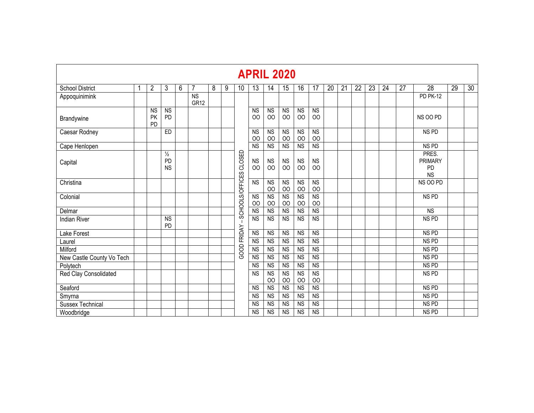|                           | <b>APRIL 2020</b> |                              |                                  |   |                               |   |   |                 |                             |                                   |                              |                               |                             |    |    |    |    |    |    |                                            |    |    |
|---------------------------|-------------------|------------------------------|----------------------------------|---|-------------------------------|---|---|-----------------|-----------------------------|-----------------------------------|------------------------------|-------------------------------|-----------------------------|----|----|----|----|----|----|--------------------------------------------|----|----|
| <b>School District</b>    | í                 | 2                            | 3                                | 6 | $\overline{7}$                | 8 | 9 | 10              | 13                          | 14                                | 15                           | 16                            | 17                          | 20 | 21 | 22 | 23 | 24 | 27 | $\overline{28}$                            | 29 | 30 |
| Appoquinimink             |                   |                              |                                  |   | <b>NS</b><br>GR <sub>12</sub> |   |   |                 |                             |                                   |                              |                               |                             |    |    |    |    |    |    | <b>PD PK-12</b>                            |    |    |
| Brandywine                |                   | <b>NS</b><br><b>PK</b><br>PD | <b>NS</b><br>PD                  |   |                               |   |   |                 | <b>NS</b><br>OO             | <b>NS</b><br>OO                   | <b>NS</b><br>00              | <b>NS</b><br>OO               | <b>NS</b><br>O <sub>O</sub> |    |    |    |    |    |    | NS OO PD                                   |    |    |
| Caesar Rodney             |                   |                              | ED                               |   |                               |   |   |                 | <b>NS</b><br>O <sub>O</sub> | <b>NS</b><br>O <sub>O</sub>       | <b>NS</b><br>00              | <b>NS</b><br>OO               | <b>NS</b><br>00             |    |    |    |    |    |    | NS <sub>PD</sub>                           |    |    |
| Cape Henlopen             |                   |                              |                                  |   |                               |   |   |                 | <b>NS</b>                   | $\overline{NS}$                   | N <sub>S</sub>               | N <sub>S</sub>                | $\overline{\text{NS}}$      |    |    |    |    |    |    | NS PD                                      |    |    |
| Capital                   |                   |                              | $\frac{1}{2}$<br>PD<br><b>NS</b> |   |                               |   |   | CLOSED          | <b>NS</b><br>OO             | <b>NS</b><br>00                   | <b>NS</b><br>00              | <b>NS</b><br>OO               | <b>NS</b><br>00             |    |    |    |    |    |    | PRES.<br><b>PRIMARY</b><br>PD<br><b>NS</b> |    |    |
| Christina                 |                   |                              |                                  |   |                               |   |   | SCHOOLS/OFFICES | N <sub>S</sub>              | N <sub>S</sub><br>O <sub>O</sub>  | <b>NS</b><br>00              | <b>NS</b><br>$_{\rm OO}$      | <b>NS</b><br>00             |    |    |    |    |    |    | NS OO PD                                   |    |    |
| Colonial                  |                   |                              |                                  |   |                               |   |   |                 | N <sub>S</sub><br>00        | $\overline{NS}$<br>O <sub>O</sub> | $\overline{\text{NS}}$<br>00 | N <sub>S</sub><br>00          | <b>NS</b><br>00             |    |    |    |    |    |    | NS <sub>PD</sub>                           |    |    |
| Delmar                    |                   |                              |                                  |   |                               |   |   |                 | <b>NS</b>                   | <b>NS</b>                         | <b>NS</b>                    | <b>NS</b>                     | <b>NS</b>                   |    |    |    |    |    |    | <b>NS</b>                                  |    |    |
| <b>Indian River</b>       |                   |                              | <b>NS</b><br><b>PD</b>           |   |                               |   |   |                 | <b>NS</b>                   | N <sub>S</sub>                    | <b>NS</b>                    | <b>NS</b>                     | $\overline{\text{NS}}$      |    |    |    |    |    |    | NS <sub>PD</sub>                           |    |    |
| Lake Forest               |                   |                              |                                  |   |                               |   |   | FRIDAY          | <b>NS</b>                   | <b>NS</b>                         | <b>NS</b>                    | <b>NS</b>                     | <b>NS</b>                   |    |    |    |    |    |    | NS <sub>PD</sub>                           |    |    |
| Laurel                    |                   |                              |                                  |   |                               |   |   |                 | <b>NS</b>                   | $\overline{NS}$                   | N <sub>S</sub>               | N <sub>S</sub>                | <b>NS</b>                   |    |    |    |    |    |    | NS <sub>PD</sub>                           |    |    |
| Milford                   |                   |                              |                                  |   |                               |   |   | GOOD            | <b>NS</b>                   | <b>NS</b>                         | N <sub>S</sub>               | N <sub>S</sub>                | <b>NS</b>                   |    |    |    |    |    |    | NS <sub>PD</sub>                           |    |    |
| New Castle County Vo Tech |                   |                              |                                  |   |                               |   |   |                 | <b>NS</b>                   | $\overline{NS}$                   | <b>NS</b>                    | N <sub>S</sub>                | $\overline{\text{NS}}$      |    |    |    |    |    |    | NS <sub>PD</sub>                           |    |    |
| Polytech                  |                   |                              |                                  |   |                               |   |   |                 | <b>NS</b>                   | N <sub>S</sub>                    | <b>NS</b>                    | <b>NS</b>                     | $\overline{\text{NS}}$      |    |    |    |    |    |    | NS <sub>PD</sub>                           |    |    |
| Red Clay Consolidated     |                   |                              |                                  |   |                               |   |   |                 | <b>NS</b>                   | <b>NS</b><br>00                   | <b>NS</b><br>00              | N <sub>S</sub><br>$_{\rm OO}$ | <b>NS</b><br>00             |    |    |    |    |    |    | NS <sub>PD</sub>                           |    |    |
| Seaford                   |                   |                              |                                  |   |                               |   |   |                 | <b>NS</b>                   | <b>NS</b>                         | <b>NS</b>                    | <b>NS</b>                     | <b>NS</b>                   |    |    |    |    |    |    | NS <sub>PD</sub>                           |    |    |
| Smyrna                    |                   |                              |                                  |   |                               |   |   |                 | <b>NS</b>                   | <b>NS</b>                         | <b>NS</b>                    | <b>NS</b>                     | <b>NS</b>                   |    |    |    |    |    |    | NS <sub>PD</sub>                           |    |    |
| <b>Sussex Technical</b>   |                   |                              |                                  |   |                               |   |   |                 | <b>NS</b>                   | <b>NS</b>                         | <b>NS</b>                    | <b>NS</b>                     | <b>NS</b>                   |    |    |    |    |    |    | NS <sub>PD</sub>                           |    |    |
| Woodbridge                |                   |                              |                                  |   |                               |   |   |                 | <b>NS</b>                   | $\overline{\text{NS}}$            | <b>NS</b>                    | <b>NS</b>                     | <b>NS</b>                   |    |    |    |    |    |    | NS <sub>PD</sub>                           |    |    |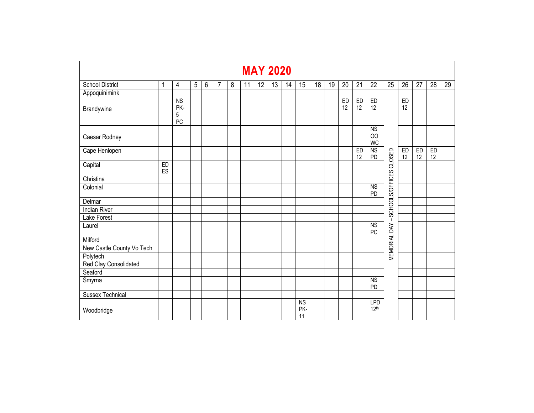|                           | <b>MAY 2020</b> |                                          |            |   |   |   |    |    |    |    |                              |    |    |          |                 |                                |                        |                 |                 |          |                 |
|---------------------------|-----------------|------------------------------------------|------------|---|---|---|----|----|----|----|------------------------------|----|----|----------|-----------------|--------------------------------|------------------------|-----------------|-----------------|----------|-----------------|
| <b>School District</b>    | 1               | $\overline{4}$                           | $\sqrt{5}$ | 6 | 7 | 8 | 11 | 12 | 13 | 14 | 15                           | 18 | 19 | 20       | $\overline{21}$ | $\overline{22}$                | $\overline{25}$        | $\overline{26}$ | $\overline{27}$ | 28       | $\overline{29}$ |
| Appoquinimink             |                 |                                          |            |   |   |   |    |    |    |    |                              |    |    |          |                 |                                |                        |                 |                 |          |                 |
| Brandywine                |                 | $\overline{\text{NS}}$<br>PK-<br>5<br>PC |            |   |   |   |    |    |    |    |                              |    |    | ED<br>12 | ED<br>12        | ED<br>12                       |                        | ED<br>12        |                 |          |                 |
| Caesar Rodney             |                 |                                          |            |   |   |   |    |    |    |    |                              |    |    |          |                 | <b>NS</b><br>OO<br><b>WC</b>   |                        |                 |                 |          |                 |
| Cape Henlopen             |                 |                                          |            |   |   |   |    |    |    |    |                              |    |    |          | ED<br>12        | <b>NS</b><br>PD                |                        | ED<br>12        | ED<br>12        | ED<br>12 |                 |
| Capital                   | ED<br>ES        |                                          |            |   |   |   |    |    |    |    |                              |    |    |          |                 |                                | SCHOOLS/OFFICES CLOSED |                 |                 |          |                 |
| Christina                 |                 |                                          |            |   |   |   |    |    |    |    |                              |    |    |          |                 |                                |                        |                 |                 |          |                 |
| Colonial                  |                 |                                          |            |   |   |   |    |    |    |    |                              |    |    |          |                 | <b>NS</b><br>PD                |                        |                 |                 |          |                 |
| Delmar                    |                 |                                          |            |   |   |   |    |    |    |    |                              |    |    |          |                 |                                |                        |                 |                 |          |                 |
| <b>Indian River</b>       |                 |                                          |            |   |   |   |    |    |    |    |                              |    |    |          |                 |                                |                        |                 |                 |          |                 |
| Lake Forest               |                 |                                          |            |   |   |   |    |    |    |    |                              |    |    |          |                 |                                | $\mathbf{I}$           |                 |                 |          |                 |
| Laurel                    |                 |                                          |            |   |   |   |    |    |    |    |                              |    |    |          |                 | $\overline{\text{NS}}$<br>PC   | <b>MEMORIAL DAY</b>    |                 |                 |          |                 |
| Milford                   |                 |                                          |            |   |   |   |    |    |    |    |                              |    |    |          |                 |                                |                        |                 |                 |          |                 |
| New Castle County Vo Tech |                 |                                          |            |   |   |   |    |    |    |    |                              |    |    |          |                 |                                |                        |                 |                 |          |                 |
| Polytech                  |                 |                                          |            |   |   |   |    |    |    |    |                              |    |    |          |                 |                                |                        |                 |                 |          |                 |
| Red Clay Consolidated     |                 |                                          |            |   |   |   |    |    |    |    |                              |    |    |          |                 |                                |                        |                 |                 |          |                 |
| Seaford                   |                 |                                          |            |   |   |   |    |    |    |    |                              |    |    |          |                 |                                |                        |                 |                 |          |                 |
| Smyrna                    |                 |                                          |            |   |   |   |    |    |    |    |                              |    |    |          |                 | <b>NS</b><br>PD                |                        |                 |                 |          |                 |
| <b>Sussex Technical</b>   |                 |                                          |            |   |   |   |    |    |    |    |                              |    |    |          |                 |                                |                        |                 |                 |          |                 |
| Woodbridge                |                 |                                          |            |   |   |   |    |    |    |    | $\overline{NS}$<br>PK-<br>11 |    |    |          |                 | <b>LPD</b><br>12 <sup>th</sup> |                        |                 |                 |          |                 |